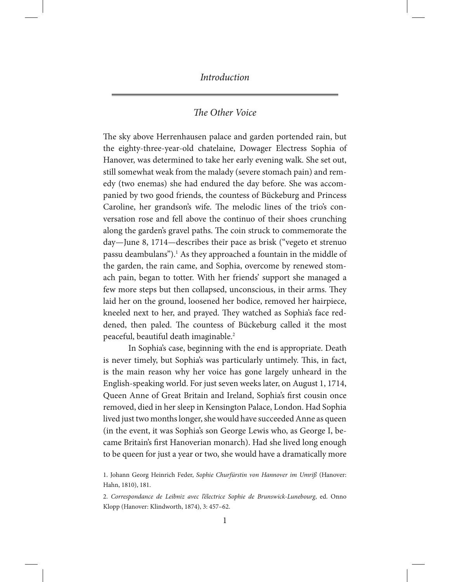# *The Other Voice*

The sky above Herrenhausen palace and garden portended rain, but the eighty-three-year-old chatelaine, Dowager Electress Sophia of Hanover, was determined to take her early evening walk. She set out, still somewhat weak from the malady (severe stomach pain) and remedy (two enemas) she had endured the day before. She was accompanied by two good friends, the countess of Bückeburg and Princess Caroline, her grandson's wife. The melodic lines of the trio's conversation rose and fell above the continuo of their shoes crunching along the garden's gravel paths. The coin struck to commemorate the day—June 8, 1714—describes their pace as brisk ("vegeto et strenuo passu deambulans").<sup>1</sup> As they approached a fountain in the middle of the garden, the rain came, and Sophia, overcome by renewed stomach pain, began to totter. With her friends' support she managed a few more steps but then collapsed, unconscious, in their arms. They laid her on the ground, loosened her bodice, removed her hairpiece, kneeled next to her, and prayed. They watched as Sophia's face reddened, then paled. The countess of Bückeburg called it the most peaceful, beautiful death imaginable.<sup>2</sup>

In Sophia's case, beginning with the end is appropriate. Death is never timely, but Sophia's was particularly untimely. This, in fact, is the main reason why her voice has gone largely unheard in the English-speaking world. For just seven weeks later, on August 1, 1714, Queen Anne of Great Britain and Ireland, Sophia's first cousin once removed, died in her sleep in Kensington Palace, London. Had Sophia lived just two months longer, she would have succeeded Anne as queen (in the event, it was Sophia's son George Lewis who, as George I, became Britain's first Hanoverian monarch). Had she lived long enough to be queen for just a year or two, she would have a dramatically more

<sup>1.</sup> Johann Georg Heinrich Feder, *Sophie Churfürstin von Hannover im Umriß* (Hanover: Hahn, 1810), 181.

<sup>2.</sup> *Correspondance de Leibniz avec l'électrice Sophie de Brunswick-Lunebourg*, ed. Onno Klopp (Hanover: Klindworth, 1874), 3: 457–62.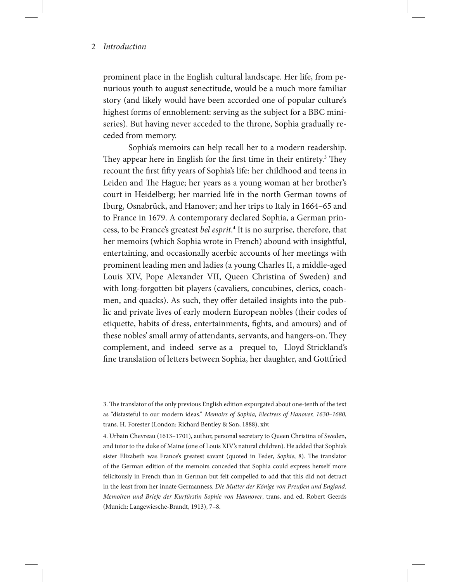prominent place in the English cultural landscape. Her life, from penurious youth to august senectitude, would be a much more familiar story (and likely would have been accorded one of popular culture's highest forms of ennoblement: serving as the subject for a BBC miniseries). But having never acceded to the throne, Sophia gradually receded from memory.

Sophia's memoirs can help recall her to a modern readership. They appear here in English for the first time in their entirety.<sup>3</sup> They recount the first fifty years of Sophia's life: her childhood and teens in Leiden and The Hague; her years as a young woman at her brother's court in Heidelberg; her married life in the north German towns of Iburg, Osnabrück, and Hanover; and her trips to Italy in 1664–65 and to France in 1679. A contemporary declared Sophia, a German princess, to be France's greatest *bel esprit*. 4 It is no surprise, therefore, that her memoirs (which Sophia wrote in French) abound with insightful, entertaining, and occasionally acerbic accounts of her meetings with prominent leading men and ladies (a young Charles II, a middle-aged Louis XIV, Pope Alexander VII, Queen Christina of Sweden) and with long-forgotten bit players (cavaliers, concubines, clerics, coachmen, and quacks). As such, they offer detailed insights into the public and private lives of early modern European nobles (their codes of etiquette, habits of dress, entertainments, fights, and amours) and of these nobles' small army of attendants, servants, and hangers-on. They complement, and indeed serve as a prequel to, Lloyd Strickland's fine translation of letters between Sophia, her daughter, and Gottfried

<sup>3.</sup> The translator of the only previous English edition expurgated about one-tenth of the text as "distasteful to our modern ideas." *Memoirs of Sophia, Electress of Hanover, 1630–1680*, trans. H. Forester (London: Richard Bentley & Son, 1888), xiv.

<sup>4.</sup> Urbain Chevreau (1613–1701), author, personal secretary to Queen Christina of Sweden, and tutor to the duke of Maine (one of Louis XIV's natural children). He added that Sophia's sister Elizabeth was France's greatest savant (quoted in Feder, *Sophie*, 8). The translator of the German edition of the memoirs conceded that Sophia could express herself more felicitously in French than in German but felt compelled to add that this did not detract in the least from her innate Germanness. *Die Mutter der Könige von Preußen und England. Memoiren und Briefe der Kurfürstin Sophie von Hannover*, trans. and ed. Robert Geerds (Munich: Langewiesche-Brandt, 1913), 7–8.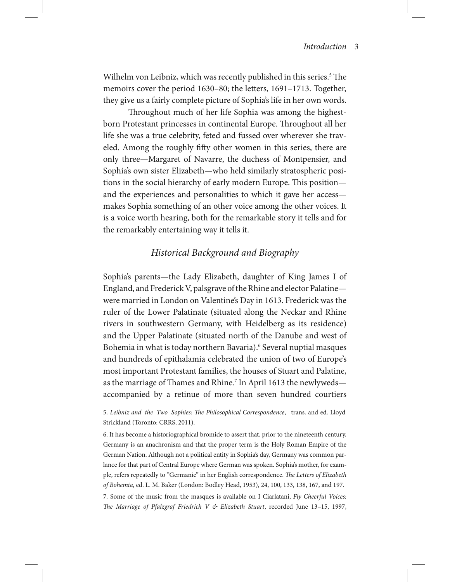Wilhelm von Leibniz, which was recently published in this series.<sup>5</sup> The memoirs cover the period 1630–80; the letters, 1691–1713. Together, they give us a fairly complete picture of Sophia's life in her own words.

Throughout much of her life Sophia was among the highestborn Protestant princesses in continental Europe. Throughout all her life she was a true celebrity, feted and fussed over wherever she traveled. Among the roughly fifty other women in this series, there are only three—Margaret of Navarre, the duchess of Montpensier, and Sophia's own sister Elizabeth—who held similarly stratospheric positions in the social hierarchy of early modern Europe. This position and the experiences and personalities to which it gave her access makes Sophia something of an other voice among the other voices. It is a voice worth hearing, both for the remarkable story it tells and for the remarkably entertaining way it tells it.

# *Historical Background and Biography*

Sophia's parents—the Lady Elizabeth, daughter of King James I of England, and Frederick V, palsgrave of the Rhine and elector Palatine were married in London on Valentine's Day in 1613. Frederick was the ruler of the Lower Palatinate (situated along the Neckar and Rhine rivers in southwestern Germany, with Heidelberg as its residence) and the Upper Palatinate (situated north of the Danube and west of Bohemia in what is today northern Bavaria).<sup>6</sup> Several nuptial masques and hundreds of epithalamia celebrated the union of two of Europe's most important Protestant families, the houses of Stuart and Palatine, as the marriage of Thames and Rhine.<sup>7</sup> In April 1613 the newlyweds accompanied by a retinue of more than seven hundred courtiers

5. *Leibniz and the Two Sophies: The Philosophical Correspondence*, trans. and ed. Lloyd Strickland (Toronto: CRRS, 2011).

6. It has become a historiographical bromide to assert that, prior to the nineteenth century, Germany is an anachronism and that the proper term is the Holy Roman Empire of the German Nation. Although not a political entity in Sophia's day, Germany was common parlance for that part of Central Europe where German was spoken. Sophia's mother, for example, refers repeatedly to "Germanie" in her English correspondence. *The Letters of Elizabeth of Bohemia*, ed. L. M. Baker (London: Bodley Head, 1953), 24, 100, 133, 138, 167, and 197. 7. Some of the music from the masques is available on I Ciarlatani, *Fly Cheerful Voices: The Marriage of Pfalzgraf Friedrich V & Elizabeth Stuart*, recorded June 13–15, 1997,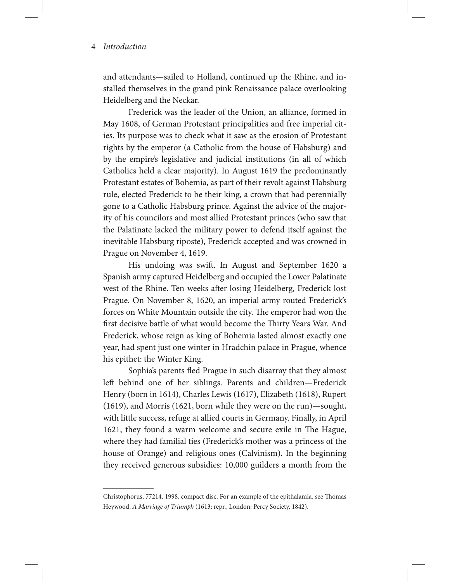and attendants—sailed to Holland, continued up the Rhine, and installed themselves in the grand pink Renaissance palace overlooking Heidelberg and the Neckar.

Frederick was the leader of the Union, an alliance, formed in May 1608, of German Protestant principalities and free imperial cities. Its purpose was to check what it saw as the erosion of Protestant rights by the emperor (a Catholic from the house of Habsburg) and by the empire's legislative and judicial institutions (in all of which Catholics held a clear majority). In August 1619 the predominantly Protestant estates of Bohemia, as part of their revolt against Habsburg rule, elected Frederick to be their king, a crown that had perennially gone to a Catholic Habsburg prince. Against the advice of the majority of his councilors and most allied Protestant princes (who saw that the Palatinate lacked the military power to defend itself against the inevitable Habsburg riposte), Frederick accepted and was crowned in Prague on November 4, 1619.

His undoing was swift. In August and September 1620 a Spanish army captured Heidelberg and occupied the Lower Palatinate west of the Rhine. Ten weeks after losing Heidelberg, Frederick lost Prague. On November 8, 1620, an imperial army routed Frederick's forces on White Mountain outside the city. The emperor had won the first decisive battle of what would become the Thirty Years War. And Frederick, whose reign as king of Bohemia lasted almost exactly one year, had spent just one winter in Hradchin palace in Prague, whence his epithet: the Winter King.

Sophia's parents fled Prague in such disarray that they almost left behind one of her siblings. Parents and children—Frederick Henry (born in 1614), Charles Lewis (1617), Elizabeth (1618), Rupert (1619), and Morris (1621, born while they were on the run)—sought, with little success, refuge at allied courts in Germany. Finally, in April 1621, they found a warm welcome and secure exile in The Hague, where they had familial ties (Frederick's mother was a princess of the house of Orange) and religious ones (Calvinism). In the beginning they received generous subsidies: 10,000 guilders a month from the

Christophorus, 77214, 1998, compact disc. For an example of the epithalamia, see Thomas Heywood, *A Marriage of Triumph* (1613; repr., London: Percy Society, 1842).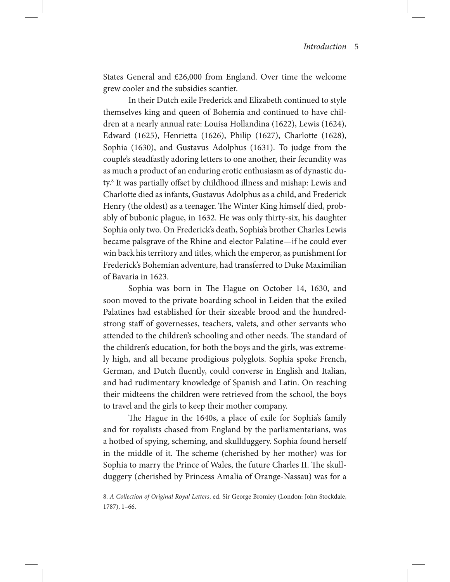States General and £26,000 from England. Over time the welcome grew cooler and the subsidies scantier.

In their Dutch exile Frederick and Elizabeth continued to style themselves king and queen of Bohemia and continued to have children at a nearly annual rate: Louisa Hollandina (1622), Lewis (1624), Edward (1625), Henrietta (1626), Philip (1627), Charlotte (1628), Sophia (1630), and Gustavus Adolphus (1631). To judge from the couple's steadfastly adoring letters to one another, their fecundity was as much a product of an enduring erotic enthusiasm as of dynastic duty.8 It was partially offset by childhood illness and mishap: Lewis and Charlotte died as infants, Gustavus Adolphus as a child, and Frederick Henry (the oldest) as a teenager. The Winter King himself died, probably of bubonic plague, in 1632. He was only thirty-six, his daughter Sophia only two. On Frederick's death, Sophia's brother Charles Lewis became palsgrave of the Rhine and elector Palatine—if he could ever win back his territory and titles, which the emperor, as punishment for Frederick's Bohemian adventure, had transferred to Duke Maximilian of Bavaria in 1623.

Sophia was born in The Hague on October 14, 1630, and soon moved to the private boarding school in Leiden that the exiled Palatines had established for their sizeable brood and the hundredstrong staff of governesses, teachers, valets, and other servants who attended to the children's schooling and other needs. The standard of the children's education, for both the boys and the girls, was extremely high, and all became prodigious polyglots. Sophia spoke French, German, and Dutch fluently, could converse in English and Italian, and had rudimentary knowledge of Spanish and Latin. On reaching their midteens the children were retrieved from the school, the boys to travel and the girls to keep their mother company.

The Hague in the 1640s, a place of exile for Sophia's family and for royalists chased from England by the parliamentarians, was a hotbed of spying, scheming, and skullduggery. Sophia found herself in the middle of it. The scheme (cherished by her mother) was for Sophia to marry the Prince of Wales, the future Charles II. The skullduggery (cherished by Princess Amalia of Orange-Nassau) was for a

<sup>8.</sup> *A Collection of Original Royal Letters*, ed. Sir George Bromley (London: John Stockdale, 1787), 1–66.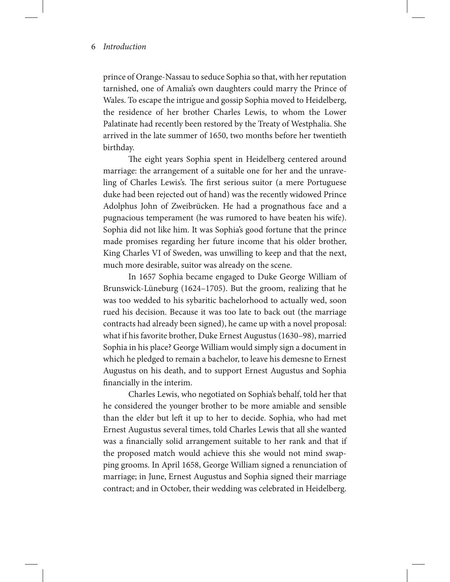prince of Orange-Nassau to seduce Sophia so that, with her reputation tarnished, one of Amalia's own daughters could marry the Prince of Wales. To escape the intrigue and gossip Sophia moved to Heidelberg, the residence of her brother Charles Lewis, to whom the Lower Palatinate had recently been restored by the Treaty of Westphalia. She arrived in the late summer of 1650, two months before her twentieth birthday.

The eight years Sophia spent in Heidelberg centered around marriage: the arrangement of a suitable one for her and the unraveling of Charles Lewis's. The first serious suitor (a mere Portuguese duke had been rejected out of hand) was the recently widowed Prince Adolphus John of Zweibrücken. He had a prognathous face and a pugnacious temperament (he was rumored to have beaten his wife). Sophia did not like him. It was Sophia's good fortune that the prince made promises regarding her future income that his older brother, King Charles VI of Sweden, was unwilling to keep and that the next, much more desirable, suitor was already on the scene.

In 1657 Sophia became engaged to Duke George William of Brunswick-Lüneburg (1624–1705). But the groom, realizing that he was too wedded to his sybaritic bachelorhood to actually wed, soon rued his decision. Because it was too late to back out (the marriage contracts had already been signed), he came up with a novel proposal: what if his favorite brother, Duke Ernest Augustus (1630–98), married Sophia in his place? George William would simply sign a document in which he pledged to remain a bachelor, to leave his demesne to Ernest Augustus on his death, and to support Ernest Augustus and Sophia financially in the interim.

Charles Lewis, who negotiated on Sophia's behalf, told her that he considered the younger brother to be more amiable and sensible than the elder but left it up to her to decide. Sophia, who had met Ernest Augustus several times, told Charles Lewis that all she wanted was a financially solid arrangement suitable to her rank and that if the proposed match would achieve this she would not mind swapping grooms. In April 1658, George William signed a renunciation of marriage; in June, Ernest Augustus and Sophia signed their marriage contract; and in October, their wedding was celebrated in Heidelberg.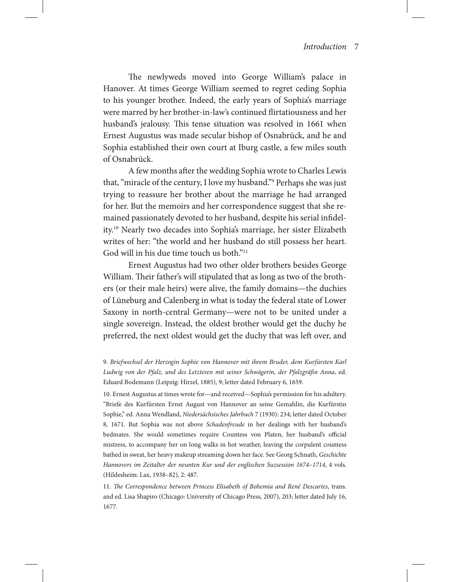The newlyweds moved into George William's palace in Hanover. At times George William seemed to regret ceding Sophia to his younger brother. Indeed, the early years of Sophia's marriage were marred by her brother-in-law's continued flirtatiousness and her husband's jealousy. This tense situation was resolved in 1661 when Ernest Augustus was made secular bishop of Osnabrück, and he and Sophia established their own court at Iburg castle, a few miles south of Osnabrück.

A few months after the wedding Sophia wrote to Charles Lewis that, "miracle of the century, I love my husband."9 Perhaps she was just trying to reassure her brother about the marriage he had arranged for her. But the memoirs and her correspondence suggest that she remained passionately devoted to her husband, despite his serial infidelity.10 Nearly two decades into Sophia's marriage, her sister Elizabeth writes of her: "the world and her husband do still possess her heart. God will in his due time touch us both."<sup>11</sup>

Ernest Augustus had two other older brothers besides George William. Their father's will stipulated that as long as two of the brothers (or their male heirs) were alive, the family domains—the duchies of Lüneburg and Calenberg in what is today the federal state of Lower Saxony in north-central Germany—were not to be united under a single sovereign. Instead, the oldest brother would get the duchy he preferred, the next oldest would get the duchy that was left over, and

9. *Briefwechsel der Herzogin Sophie von Hannover mit ihrem Bruder, dem Kurfürsten Karl Ludwig von der Pfalz, und des Letzteren mit seiner Schwägerin, der Pfalzgräfin Anna*, ed. Eduard Bodemann (Leipzig: Hirzel, 1885), 9; letter dated February 6, 1659.

10. Ernest Augustus at times wrote for—and received—Sophia's permission for his adultery. "Briefe des Kurfürsten Ernst August von Hannover an seine Gemahlin, die Kurfürstin Sophie," ed. Anna Wendland, *Niedersächsisches Jahrbuch* 7 (1930): 234; letter dated October 8, 1671. But Sophia was not above *Schadenfreude* in her dealings with her husband's bedmates. She would sometimes require Countess von Platen, her husband's official mistress, to accompany her on long walks in hot weather, leaving the corpulent countess bathed in sweat, her heavy makeup streaming down her face. See Georg Schnath, *Geschichte Hannovers im Zeitalter der neunten Kur und der englischen Suzsession 1674–1714*, 4 vols. (Hildesheim: Lax, 1938–82), 2: 487.

11. *The Correspondence between Princess Elisabeth of Bohemia and René Descartes*, trans. and ed. Lisa Shapiro (Chicago: University of Chicago Press, 2007), 203; letter dated July 16, 1677.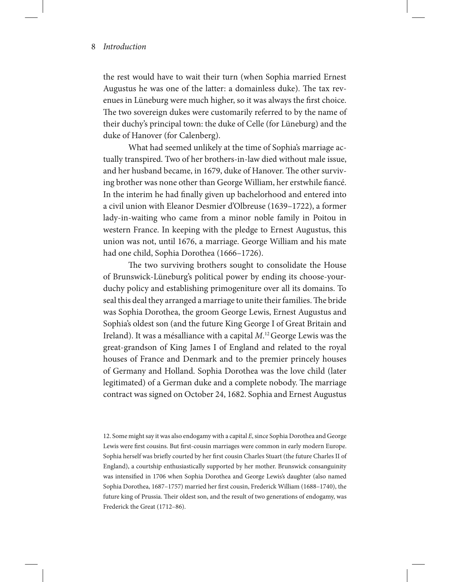the rest would have to wait their turn (when Sophia married Ernest Augustus he was one of the latter: a domainless duke). The tax revenues in Lüneburg were much higher, so it was always the first choice. The two sovereign dukes were customarily referred to by the name of their duchy's principal town: the duke of Celle (for Lüneburg) and the duke of Hanover (for Calenberg).

What had seemed unlikely at the time of Sophia's marriage actually transpired. Two of her brothers-in-law died without male issue, and her husband became, in 1679, duke of Hanover. The other surviving brother was none other than George William, her erstwhile fiancé. In the interim he had finally given up bachelorhood and entered into a civil union with Eleanor Desmier d'Olbreuse (1639–1722), a former lady-in-waiting who came from a minor noble family in Poitou in western France. In keeping with the pledge to Ernest Augustus, this union was not, until 1676, a marriage. George William and his mate had one child, Sophia Dorothea (1666–1726).

The two surviving brothers sought to consolidate the House of Brunswick-Lüneburg's political power by ending its choose-yourduchy policy and establishing primogeniture over all its domains. To seal this deal they arranged a marriage to unite their families. The bride was Sophia Dorothea, the groom George Lewis, Ernest Augustus and Sophia's oldest son (and the future King George I of Great Britain and Ireland). It was a mésalliance with a capital *M*. 12 George Lewis was the great-grandson of King James I of England and related to the royal houses of France and Denmark and to the premier princely houses of Germany and Holland. Sophia Dorothea was the love child (later legitimated) of a German duke and a complete nobody. The marriage contract was signed on October 24, 1682. Sophia and Ernest Augustus

12. Some might say it was also endogamy with a capital *E*, since Sophia Dorothea and George Lewis were first cousins. But first-cousin marriages were common in early modern Europe. Sophia herself was briefly courted by her first cousin Charles Stuart (the future Charles II of England), a courtship enthusiastically supported by her mother. Brunswick consanguinity was intensified in 1706 when Sophia Dorothea and George Lewis's daughter (also named Sophia Dorothea, 1687–1757) married her first cousin, Frederick William (1688–1740), the future king of Prussia. Their oldest son, and the result of two generations of endogamy, was Frederick the Great (1712–86).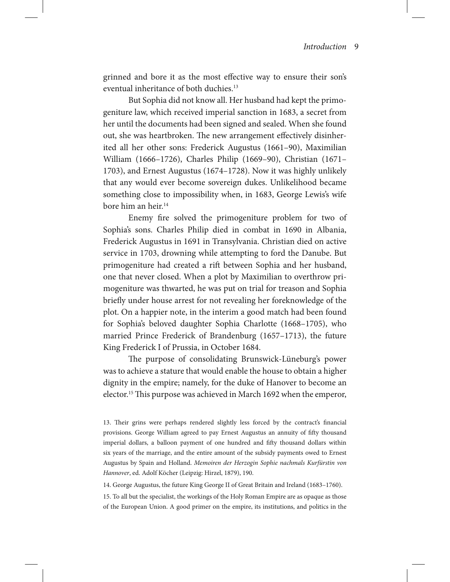grinned and bore it as the most effective way to ensure their son's eventual inheritance of both duchies.<sup>13</sup>

But Sophia did not know all. Her husband had kept the primogeniture law, which received imperial sanction in 1683, a secret from her until the documents had been signed and sealed. When she found out, she was heartbroken. The new arrangement effectively disinherited all her other sons: Frederick Augustus (1661–90), Maximilian William (1666–1726), Charles Philip (1669–90), Christian (1671– 1703), and Ernest Augustus (1674–1728). Now it was highly unlikely that any would ever become sovereign dukes. Unlikelihood became something close to impossibility when, in 1683, George Lewis's wife bore him an heir.<sup>14</sup>

Enemy fire solved the primogeniture problem for two of Sophia's sons. Charles Philip died in combat in 1690 in Albania, Frederick Augustus in 1691 in Transylvania. Christian died on active service in 1703, drowning while attempting to ford the Danube. But primogeniture had created a rift between Sophia and her husband, one that never closed. When a plot by Maximilian to overthrow primogeniture was thwarted, he was put on trial for treason and Sophia briefly under house arrest for not revealing her foreknowledge of the plot. On a happier note, in the interim a good match had been found for Sophia's beloved daughter Sophia Charlotte (1668–1705), who married Prince Frederick of Brandenburg (1657–1713), the future King Frederick I of Prussia, in October 1684.

The purpose of consolidating Brunswick-Lüneburg's power was to achieve a stature that would enable the house to obtain a higher dignity in the empire; namely, for the duke of Hanover to become an elector.15 This purpose was achieved in March 1692 when the emperor,

14. George Augustus, the future King George II of Great Britain and Ireland (1683–1760).

15. To all but the specialist, the workings of the Holy Roman Empire are as opaque as those of the European Union. A good primer on the empire, its institutions, and politics in the

<sup>13.</sup> Their grins were perhaps rendered slightly less forced by the contract's financial provisions. George William agreed to pay Ernest Augustus an annuity of fifty thousand imperial dollars, a balloon payment of one hundred and fifty thousand dollars within six years of the marriage, and the entire amount of the subsidy payments owed to Ernest Augustus by Spain and Holland. *Memoiren der Herzogin Sophie nachmals Kurfürstin von Hannover*, ed. Adolf Köcher (Leipzig: Hirzel, 1879), 190.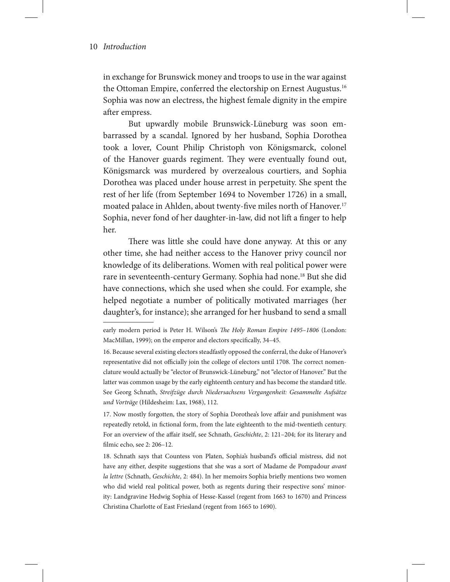in exchange for Brunswick money and troops to use in the war against the Ottoman Empire, conferred the electorship on Ernest Augustus.<sup>16</sup> Sophia was now an electress, the highest female dignity in the empire after empress.

But upwardly mobile Brunswick-Lüneburg was soon embarrassed by a scandal. Ignored by her husband, Sophia Dorothea took a lover, Count Philip Christoph von Königsmarck, colonel of the Hanover guards regiment. They were eventually found out, Königsmarck was murdered by overzealous courtiers, and Sophia Dorothea was placed under house arrest in perpetuity. She spent the rest of her life (from September 1694 to November 1726) in a small, moated palace in Ahlden, about twenty-five miles north of Hanover.<sup>17</sup> Sophia, never fond of her daughter-in-law, did not lift a finger to help her.

There was little she could have done anyway. At this or any other time, she had neither access to the Hanover privy council nor knowledge of its deliberations. Women with real political power were rare in seventeenth-century Germany. Sophia had none.18 But she did have connections, which she used when she could. For example, she helped negotiate a number of politically motivated marriages (her daughter's, for instance); she arranged for her husband to send a small

early modern period is Peter H. Wilson's *The Holy Roman Empire 1495–1806* (London: MacMillan, 1999); on the emperor and electors specifically, 34–45.

<sup>16.</sup> Because several existing electors steadfastly opposed the conferral, the duke of Hanover's representative did not officially join the college of electors until 1708. The correct nomenclature would actually be "elector of Brunswick-Lüneburg," not "elector of Hanover." But the latter was common usage by the early eighteenth century and has become the standard title. See Georg Schnath, *Streifzüge durch Niedersachsens Vergangenheit: Gesammelte Aufsätze und Vorträge* (Hildesheim: Lax, 1968), 112.

<sup>17.</sup> Now mostly forgotten, the story of Sophia Dorothea's love affair and punishment was repeatedly retold, in fictional form, from the late eighteenth to the mid-twentieth century. For an overview of the affair itself, see Schnath, *Geschichte*, 2: 121–204; for its literary and filmic echo, see 2: 206–12.

<sup>18.</sup> Schnath says that Countess von Platen, Sophia's husband's official mistress, did not have any either, despite suggestions that she was a sort of Madame de Pompadour *avant la lettre* (Schnath, *Geschichte*, 2: 484). In her memoirs Sophia briefly mentions two women who did wield real political power, both as regents during their respective sons' minority: Landgravine Hedwig Sophia of Hesse-Kassel (regent from 1663 to 1670) and Princess Christina Charlotte of East Friesland (regent from 1665 to 1690).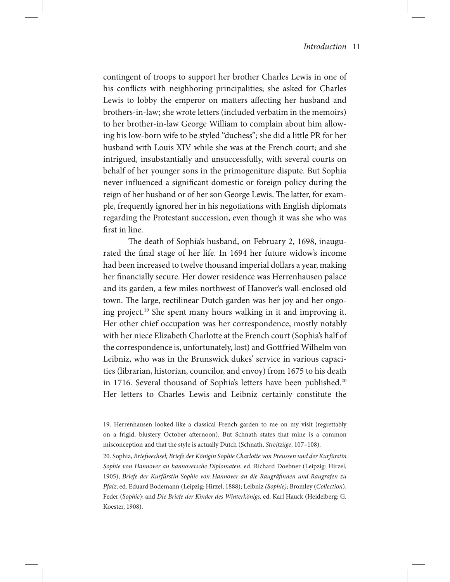contingent of troops to support her brother Charles Lewis in one of his conflicts with neighboring principalities; she asked for Charles Lewis to lobby the emperor on matters affecting her husband and brothers-in-law; she wrote letters (included verbatim in the memoirs) to her brother-in-law George William to complain about him allowing his low-born wife to be styled "duchess"; she did a little PR for her husband with Louis XIV while she was at the French court; and she intrigued, insubstantially and unsuccessfully, with several courts on behalf of her younger sons in the primogeniture dispute. But Sophia never influenced a significant domestic or foreign policy during the reign of her husband or of her son George Lewis. The latter, for example, frequently ignored her in his negotiations with English diplomats regarding the Protestant succession, even though it was she who was first in line.

The death of Sophia's husband, on February 2, 1698, inaugurated the final stage of her life. In 1694 her future widow's income had been increased to twelve thousand imperial dollars a year, making her financially secure. Her dower residence was Herrenhausen palace and its garden, a few miles northwest of Hanover's wall-enclosed old town. The large, rectilinear Dutch garden was her joy and her ongoing project.19 She spent many hours walking in it and improving it. Her other chief occupation was her correspondence, mostly notably with her niece Elizabeth Charlotte at the French court (Sophia's half of the correspondence is, unfortunately, lost) and Gottfried Wilhelm von Leibniz, who was in the Brunswick dukes' service in various capacities (librarian, historian, councilor, and envoy) from 1675 to his death in 1716. Several thousand of Sophia's letters have been published.<sup>20</sup> Her letters to Charles Lewis and Leibniz certainly constitute the

20. Sophia, *Briefwechsel; Briefe der Königin Sophie Charlotte von Preussen und der Kurfürstin Sophie von Hannover an hannoversche Diplomaten*, ed. Richard Doebner (Leipzig: Hirzel, 1905); *Briefe der Kurfürstin Sophie von Hannover an die Raugräfinnen und Raugrafen zu Pfalz*, ed. Eduard Bodemann (Leipzig: Hirzel, 1888); Leibniz *(Sophie)*; Bromley (*Collection*), Feder (*Sophie*); and *Die Briefe der Kinder des Winterkönigs,* ed. Karl Hauck (Heidelberg: G. Koester, 1908).

<sup>19.</sup> Herrenhausen looked like a classical French garden to me on my visit (regrettably on a frigid, blustery October afternoon). But Schnath states that mine is a common misconception and that the style is actually Dutch (Schnath, *Streifzüge*, 107–108).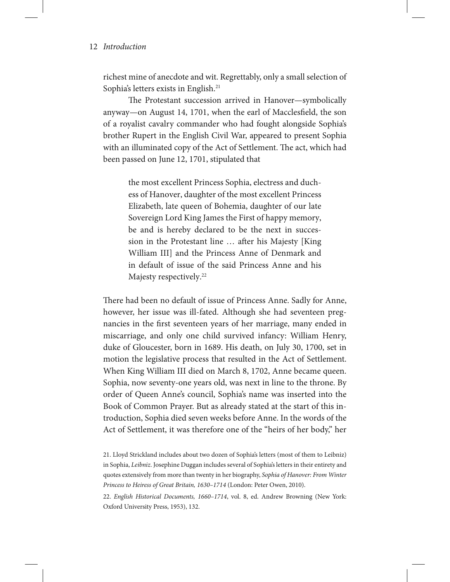richest mine of anecdote and wit. Regrettably, only a small selection of Sophia's letters exists in English.<sup>21</sup>

The Protestant succession arrived in Hanover—symbolically anyway—on August 14, 1701, when the earl of Macclesfield, the son of a royalist cavalry commander who had fought alongside Sophia's brother Rupert in the English Civil War, appeared to present Sophia with an illuminated copy of the Act of Settlement. The act, which had been passed on June 12, 1701, stipulated that

> the most excellent Princess Sophia, electress and duchess of Hanover, daughter of the most excellent Princess Elizabeth, late queen of Bohemia, daughter of our late Sovereign Lord King James the First of happy memory, be and is hereby declared to be the next in succession in the Protestant line … after his Majesty [King William III] and the Princess Anne of Denmark and in default of issue of the said Princess Anne and his Majesty respectively.<sup>22</sup>

There had been no default of issue of Princess Anne. Sadly for Anne, however, her issue was ill-fated. Although she had seventeen pregnancies in the first seventeen years of her marriage, many ended in miscarriage, and only one child survived infancy: William Henry, duke of Gloucester, born in 1689. His death, on July 30, 1700, set in motion the legislative process that resulted in the Act of Settlement. When King William III died on March 8, 1702, Anne became queen. Sophia, now seventy-one years old, was next in line to the throne. By order of Queen Anne's council, Sophia's name was inserted into the Book of Common Prayer. But as already stated at the start of this introduction, Sophia died seven weeks before Anne. In the words of the Act of Settlement, it was therefore one of the "heirs of her body," her

<sup>21.</sup> Lloyd Strickland includes about two dozen of Sophia's letters (most of them to Leibniz) in Sophia, *Leibniz*. Josephine Duggan includes several of Sophia's letters in their entirety and quotes extensively from more than twenty in her biography, *Sophia of Hanover: From Winter Princess to Heiress of Great Britain, 1630–1714* (London: Peter Owen, 2010).

<sup>22.</sup> *English Historical Documents, 1660–1714*, vol. 8, ed. Andrew Browning (New York: Oxford University Press, 1953), 132.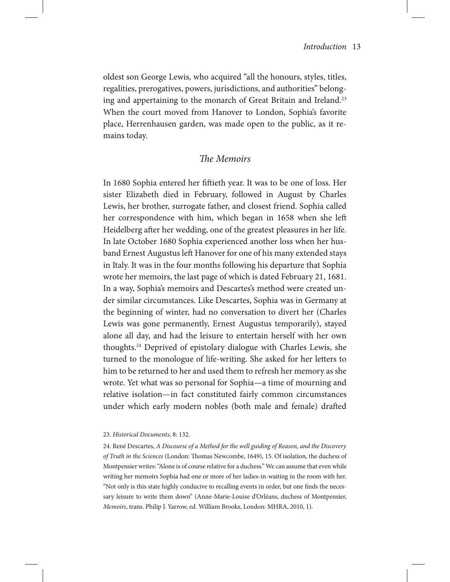oldest son George Lewis, who acquired "all the honours, styles, titles, regalities, prerogatives, powers, jurisdictions, and authorities" belonging and appertaining to the monarch of Great Britain and Ireland.<sup>23</sup> When the court moved from Hanover to London, Sophia's favorite place, Herrenhausen garden, was made open to the public, as it remains today.

# *The Memoirs*

In 1680 Sophia entered her fiftieth year. It was to be one of loss. Her sister Elizabeth died in February, followed in August by Charles Lewis, her brother, surrogate father, and closest friend. Sophia called her correspondence with him, which began in 1658 when she left Heidelberg after her wedding, one of the greatest pleasures in her life. In late October 1680 Sophia experienced another loss when her husband Ernest Augustus left Hanover for one of his many extended stays in Italy. It was in the four months following his departure that Sophia wrote her memoirs, the last page of which is dated February 21, 1681. In a way, Sophia's memoirs and Descartes's method were created under similar circumstances. Like Descartes, Sophia was in Germany at the beginning of winter, had no conversation to divert her (Charles Lewis was gone permanently, Ernest Augustus temporarily), stayed alone all day, and had the leisure to entertain herself with her own thoughts.24 Deprived of epistolary dialogue with Charles Lewis, she turned to the monologue of life-writing. She asked for her letters to him to be returned to her and used them to refresh her memory as she wrote. Yet what was so personal for Sophia—a time of mourning and relative isolation—in fact constituted fairly common circumstances under which early modern nobles (both male and female) drafted

<sup>23.</sup> *Historical Documents*, 8: 132.

<sup>24.</sup> René Descartes, *A Discourse of a Method for the well guiding of Reason, and the Discovery of Truth in the Sciences* (London: Thomas Newcombe, 1649), 15. Of isolation, the duchess of Montpensier writes: "Alone is of course relative for a duchess." We can assume that even while writing her memoirs Sophia had one or more of her ladies-in-waiting in the room with her. "Not only is this state highly conducive to recalling events in order, but one finds the necessary leisure to write them down" (Anne-Marie-Louise d'Orléans, duchess of Montpensier, *Memoirs*, trans. Philip J. Yarrow, ed. William Brooks, London: MHRA, 2010, 1).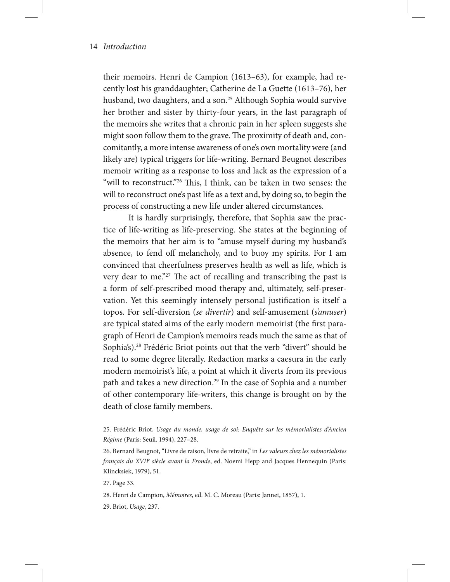their memoirs. Henri de Campion (1613–63), for example, had recently lost his granddaughter; Catherine de La Guette (1613–76), her husband, two daughters, and a son.<sup>25</sup> Although Sophia would survive her brother and sister by thirty-four years, in the last paragraph of the memoirs she writes that a chronic pain in her spleen suggests she might soon follow them to the grave. The proximity of death and, concomitantly, a more intense awareness of one's own mortality were (and likely are) typical triggers for life-writing. Bernard Beugnot describes memoir writing as a response to loss and lack as the expression of a "will to reconstruct."<sup>26</sup> This, I think, can be taken in two senses: the will to reconstruct one's past life as a text and, by doing so, to begin the process of constructing a new life under altered circumstances.

It is hardly surprisingly, therefore, that Sophia saw the practice of life-writing as life-preserving. She states at the beginning of the memoirs that her aim is to "amuse myself during my husband's absence, to fend off melancholy, and to buoy my spirits. For I am convinced that cheerfulness preserves health as well as life, which is very dear to me."<sup>27</sup> The act of recalling and transcribing the past is a form of self-prescribed mood therapy and, ultimately, self-preservation. Yet this seemingly intensely personal justification is itself a topos. For self-diversion (*se divertir*) and self-amusement (*s'amuser*) are typical stated aims of the early modern memoirist (the first paragraph of Henri de Campion's memoirs reads much the same as that of Sophia's).<sup>28</sup> Frédéric Briot points out that the verb "divert" should be read to some degree literally. Redaction marks a caesura in the early modern memoirist's life, a point at which it diverts from its previous path and takes a new direction.<sup>29</sup> In the case of Sophia and a number of other contemporary life-writers, this change is brought on by the death of close family members.

<sup>25.</sup> Frédéric Briot, *Usage du monde, usage de soi: Enquête sur les mémorialistes d'Ancien Régime* (Paris: Seuil, 1994), 227–28.

<sup>26.</sup> Bernard Beugnot, "Livre de raison, livre de retraite," in *Les valeurs chez les mémorialistes français du XVIIe siècle avant la Fronde*, ed. Noemi Hepp and Jacques Hennequin (Paris: Klincksiek, 1979), 51.

<sup>27.</sup> Page 33.

<sup>28.</sup> Henri de Campion, *Mémoires*, ed. M. C. Moreau (Paris: Jannet, 1857), 1.

<sup>29.</sup> Briot, *Usage*, 237.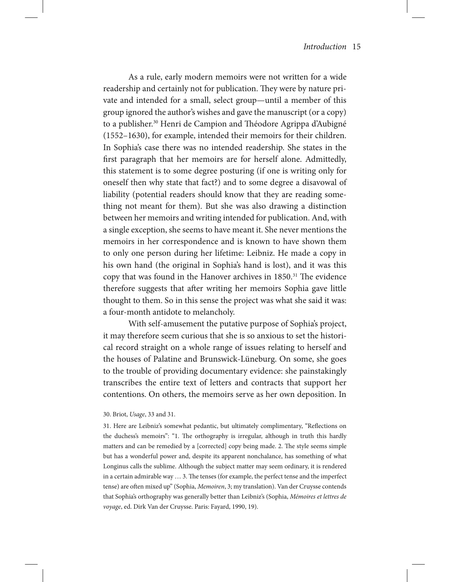As a rule, early modern memoirs were not written for a wide readership and certainly not for publication. They were by nature private and intended for a small, select group—until a member of this group ignored the author's wishes and gave the manuscript (or a copy) to a publisher.30 Henri de Campion and Théodore Agrippa d'Aubigné (1552–1630), for example, intended their memoirs for their children. In Sophia's case there was no intended readership. She states in the first paragraph that her memoirs are for herself alone. Admittedly, this statement is to some degree posturing (if one is writing only for oneself then why state that fact?) and to some degree a disavowal of liability (potential readers should know that they are reading something not meant for them). But she was also drawing a distinction between her memoirs and writing intended for publication. And, with a single exception, she seems to have meant it. She never mentions the memoirs in her correspondence and is known to have shown them to only one person during her lifetime: Leibniz. He made a copy in his own hand (the original in Sophia's hand is lost), and it was this copy that was found in the Hanover archives in 1850.<sup>31</sup> The evidence therefore suggests that after writing her memoirs Sophia gave little thought to them. So in this sense the project was what she said it was: a four-month antidote to melancholy.

With self-amusement the putative purpose of Sophia's project, it may therefore seem curious that she is so anxious to set the historical record straight on a whole range of issues relating to herself and the houses of Palatine and Brunswick-Lüneburg. On some, she goes to the trouble of providing documentary evidence: she painstakingly transcribes the entire text of letters and contracts that support her contentions. On others, the memoirs serve as her own deposition. In

#### 30. Briot, *Usage*, 33 and 31.

31. Here are Leibniz's somewhat pedantic, but ultimately complimentary, "Reflections on the duchess's memoirs": "1. The orthography is irregular, although in truth this hardly matters and can be remedied by a [corrected] copy being made. 2. The style seems simple but has a wonderful power and, despite its apparent nonchalance, has something of what Longinus calls the sublime. Although the subject matter may seem ordinary, it is rendered in a certain admirable way … 3. The tenses (for example, the perfect tense and the imperfect tense) are often mixed up" (Sophia, *Memoiren*, 3; my translation). Van der Cruysse contends that Sophia's orthography was generally better than Leibniz's (Sophia, *Mémoires et lettres de voyage*, ed. Dirk Van der Cruysse. Paris: Fayard, 1990, 19).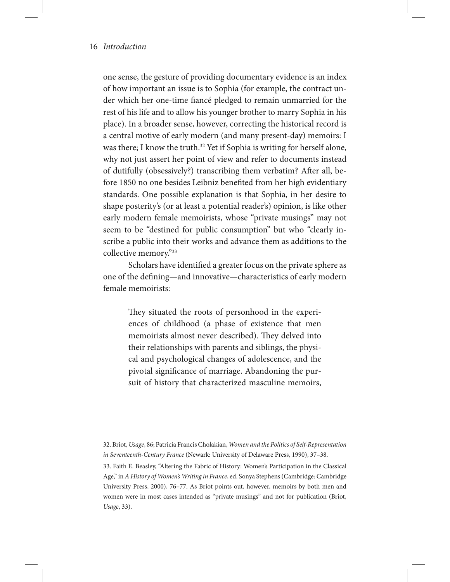one sense, the gesture of providing documentary evidence is an index of how important an issue is to Sophia (for example, the contract under which her one-time fiancé pledged to remain unmarried for the rest of his life and to allow his younger brother to marry Sophia in his place). In a broader sense, however, correcting the historical record is a central motive of early modern (and many present-day) memoirs: I was there; I know the truth.<sup>32</sup> Yet if Sophia is writing for herself alone, why not just assert her point of view and refer to documents instead of dutifully (obsessively?) transcribing them verbatim? After all, before 1850 no one besides Leibniz benefited from her high evidentiary standards. One possible explanation is that Sophia, in her desire to shape posterity's (or at least a potential reader's) opinion, is like other early modern female memoirists, whose "private musings" may not seem to be "destined for public consumption" but who "clearly inscribe a public into their works and advance them as additions to the collective memory."33

Scholars have identified a greater focus on the private sphere as one of the defining—and innovative—characteristics of early modern female memoirists:

> They situated the roots of personhood in the experiences of childhood (a phase of existence that men memoirists almost never described). They delved into their relationships with parents and siblings, the physical and psychological changes of adolescence, and the pivotal significance of marriage. Abandoning the pursuit of history that characterized masculine memoirs,

32. Briot, *Usage*, 86; Patricia Francis Cholakian, *Women and the Politics of Self-Representation in Seventeenth-Century France* (Newark: University of Delaware Press, 1990), 37–38. 33. Faith E. Beasley, "Altering the Fabric of History: Women's Participation in the Classical Age," in *A History of Women's Writing in France*, ed. Sonya Stephens (Cambridge: Cambridge University Press, 2000), 76–77. As Briot points out, however, memoirs by both men and women were in most cases intended as "private musings" and not for publication (Briot, *Usage*, 33).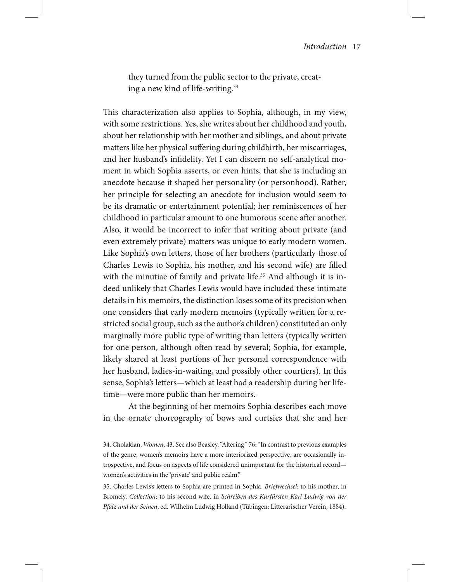they turned from the public sector to the private, creating a new kind of life-writing.34

This characterization also applies to Sophia, although, in my view, with some restrictions. Yes, she writes about her childhood and youth, about her relationship with her mother and siblings, and about private matters like her physical suffering during childbirth, her miscarriages, and her husband's infidelity. Yet I can discern no self-analytical moment in which Sophia asserts, or even hints, that she is including an anecdote because it shaped her personality (or personhood). Rather, her principle for selecting an anecdote for inclusion would seem to be its dramatic or entertainment potential; her reminiscences of her childhood in particular amount to one humorous scene after another. Also, it would be incorrect to infer that writing about private (and even extremely private) matters was unique to early modern women. Like Sophia's own letters, those of her brothers (particularly those of Charles Lewis to Sophia, his mother, and his second wife) are filled with the minutiae of family and private life.<sup>35</sup> And although it is indeed unlikely that Charles Lewis would have included these intimate details in his memoirs, the distinction loses some of its precision when one considers that early modern memoirs (typically written for a restricted social group, such as the author's children) constituted an only marginally more public type of writing than letters (typically written for one person, although often read by several; Sophia, for example, likely shared at least portions of her personal correspondence with her husband, ladies-in-waiting, and possibly other courtiers). In this sense, Sophia's letters—which at least had a readership during her lifetime—were more public than her memoirs.

At the beginning of her memoirs Sophia describes each move in the ornate choreography of bows and curtsies that she and her

35. Charles Lewis's letters to Sophia are printed in Sophia, *Briefwechsel*; to his mother, in Bromely, *Collection*; to his second wife, in *Schreiben des Kurfürsten Karl Ludwig von der Pfalz und der Seinen*, ed. Wilhelm Ludwig Holland (Tübingen: Litterarischer Verein, 1884).

<sup>34.</sup> Cholakian, *Women*, 43. See also Beasley, "Altering," 76: "In contrast to previous examples of the genre, women's memoirs have a more interiorized perspective, are occasionally introspective, and focus on aspects of life considered unimportant for the historical record women's activities in the 'private' and public realm."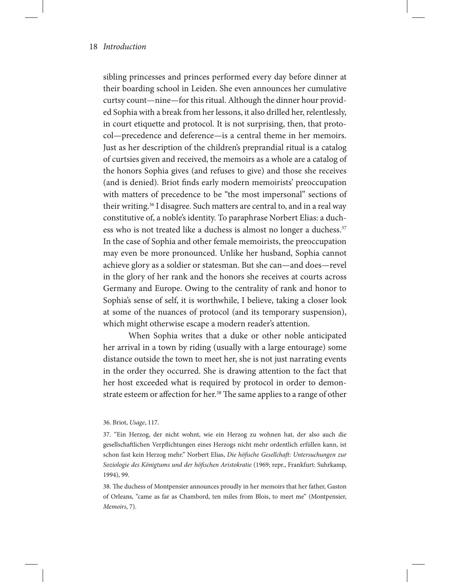sibling princesses and princes performed every day before dinner at their boarding school in Leiden. She even announces her cumulative curtsy count—nine—for this ritual. Although the dinner hour provided Sophia with a break from her lessons, it also drilled her, relentlessly, in court etiquette and protocol. It is not surprising, then, that protocol—precedence and deference—is a central theme in her memoirs. Just as her description of the children's preprandial ritual is a catalog of curtsies given and received, the memoirs as a whole are a catalog of the honors Sophia gives (and refuses to give) and those she receives (and is denied). Briot finds early modern memoirists' preoccupation with matters of precedence to be "the most impersonal" sections of their writing.<sup>36</sup> I disagree. Such matters are central to, and in a real way constitutive of, a noble's identity. To paraphrase Norbert Elias: a duchess who is not treated like a duchess is almost no longer a duchess.<sup>37</sup> In the case of Sophia and other female memoirists, the preoccupation may even be more pronounced. Unlike her husband, Sophia cannot achieve glory as a soldier or statesman. But she can—and does—revel in the glory of her rank and the honors she receives at courts across Germany and Europe. Owing to the centrality of rank and honor to Sophia's sense of self, it is worthwhile, I believe, taking a closer look at some of the nuances of protocol (and its temporary suspension), which might otherwise escape a modern reader's attention.

When Sophia writes that a duke or other noble anticipated her arrival in a town by riding (usually with a large entourage) some distance outside the town to meet her, she is not just narrating events in the order they occurred. She is drawing attention to the fact that her host exceeded what is required by protocol in order to demonstrate esteem or affection for her.<sup>38</sup> The same applies to a range of other

38. The duchess of Montpensier announces proudly in her memoirs that her father, Gaston of Orleans, "came as far as Chambord, ten miles from Blois, to meet me" (Montpensier, *Memoirs*, 7).

<sup>36.</sup> Briot, *Usage*, 117.

<sup>37. &</sup>quot;Ein Herzog, der nicht wohnt, wie ein Herzog zu wohnen hat, der also auch die gesellschaftlichen Verpflichtungen eines Herzogs nicht mehr ordentlich erfüllen kann, ist schon fast kein Herzog mehr." Norbert Elias, *Die höfische Gesellchaft: Untersuchungen zur Soziologie des Königtums und der höfischen Aristokratie* (1969; repr., Frankfurt: Suhrkamp, 1994), 99.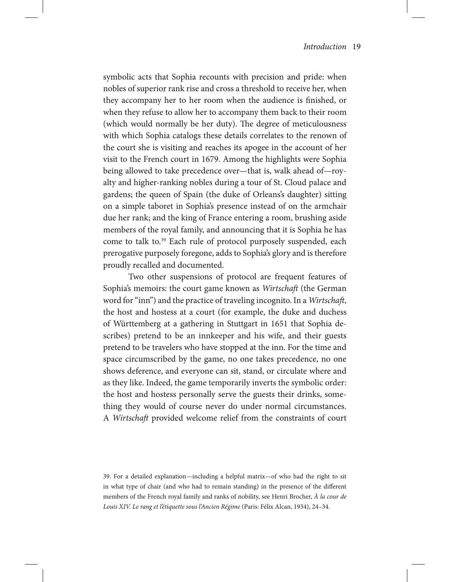symbolic acts that Sophia recounts with precision and pride: when nobles of superior rank rise and cross a threshold to receive her, when they accompany her to her room when the audience is finished, or when they refuse to allow her to accompany them back to their room (which would normally be her duty). The degree of meticulousness with which Sophia catalogs these details correlates to the renown of the court she is visiting and reaches its apogee in the account of her visit to the French court in 1679. Among the highlights were Sophia being allowed to take precedence over—that is, walk ahead of—royalty and higher-ranking nobles during a tour of St. Cloud palace and gardens; the queen of Spain (the duke of Orleans's daughter) sitting on a simple taboret in Sophia's presence instead of on the armchair due her rank; and the king of France entering a room, brushing aside members of the royal family, and announcing that it is Sophia he has come to talk to.39 Each rule of protocol purposely suspended, each prerogative purposely foregone, adds to Sophia's glory and is therefore proudly recalled and documented.

Two other suspensions of protocol are frequent features of Sophia's memoirs: the court game known as *Wirtschaft* (the German word for "inn") and the practice of traveling incognito. In a *Wirtschaft*, the host and hostess at a court (for example, the duke and duchess of Württemberg at a gathering in Stuttgart in 1651 that Sophia describes) pretend to be an innkeeper and his wife, and their guests pretend to be travelers who have stopped at the inn. For the time and space circumscribed by the game, no one takes precedence, no one shows deference, and everyone can sit, stand, or circulate where and as they like. Indeed, the game temporarily inverts the symbolic order: the host and hostess personally serve the guests their drinks, something they would of course never do under normal circumstances. A *Wirtschaft* provided welcome relief from the constraints of court

<sup>39.</sup> For a detailed explanation—including a helpful matrix—of who had the right to sit in what type of chair (and who had to remain standing) in the presence of the different members of the French royal family and ranks of nobility, see Henri Brocher, *À la cour de Louis XIV. Le rang et l'étiquette sous l'Ancien Régime* (Paris: Félix Alcan, 1934), 24–34.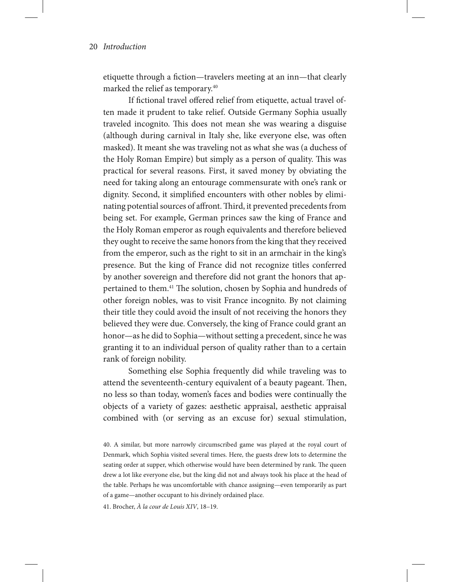etiquette through a fiction—travelers meeting at an inn—that clearly marked the relief as temporary.40

If fictional travel offered relief from etiquette, actual travel often made it prudent to take relief. Outside Germany Sophia usually traveled incognito. This does not mean she was wearing a disguise (although during carnival in Italy she, like everyone else, was often masked). It meant she was traveling not as what she was (a duchess of the Holy Roman Empire) but simply as a person of quality. This was practical for several reasons. First, it saved money by obviating the need for taking along an entourage commensurate with one's rank or dignity. Second, it simplified encounters with other nobles by eliminating potential sources of affront. Third, it prevented precedents from being set. For example, German princes saw the king of France and the Holy Roman emperor as rough equivalents and therefore believed they ought to receive the same honors from the king that they received from the emperor, such as the right to sit in an armchair in the king's presence. But the king of France did not recognize titles conferred by another sovereign and therefore did not grant the honors that appertained to them.<sup>41</sup> The solution, chosen by Sophia and hundreds of other foreign nobles, was to visit France incognito. By not claiming their title they could avoid the insult of not receiving the honors they believed they were due. Conversely, the king of France could grant an honor—as he did to Sophia—without setting a precedent, since he was granting it to an individual person of quality rather than to a certain rank of foreign nobility.

Something else Sophia frequently did while traveling was to attend the seventeenth-century equivalent of a beauty pageant. Then, no less so than today, women's faces and bodies were continually the objects of a variety of gazes: aesthetic appraisal, aesthetic appraisal combined with (or serving as an excuse for) sexual stimulation,

41. Brocher, *À la cour de Louis XIV*, 18–19.

<sup>40.</sup> A similar, but more narrowly circumscribed game was played at the royal court of Denmark, which Sophia visited several times. Here, the guests drew lots to determine the seating order at supper, which otherwise would have been determined by rank. The queen drew a lot like everyone else, but the king did not and always took his place at the head of the table. Perhaps he was uncomfortable with chance assigning—even temporarily as part of a game—another occupant to his divinely ordained place.